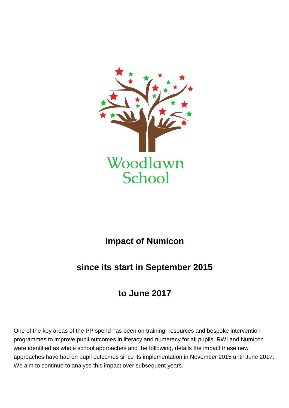

## **Impact of Numicon**

## **since its start in September 2015**

## **to June 2017**

One of the key areas of the PP spend has been on training, resources and bespoke intervention programmes to improve pupil outcomes in literacy and numeracy for all pupils. RWI and Numicon were identified as whole school approaches and the following, details the impact these new approaches have had on pupil outcomes since its implementation in November 2015 until June 2017. We aim to continue to analyse this impact over subsequent years.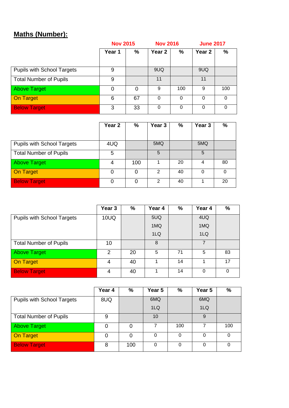## **Maths (Number):**

|                                   | <b>Nov 2015</b> |    | <b>Nov 2016</b>   |     | <b>June 2017</b>  |          |
|-----------------------------------|-----------------|----|-------------------|-----|-------------------|----------|
|                                   | Year 1          | %  | Year <sub>2</sub> | %   | Year <sub>2</sub> | %        |
|                                   |                 |    |                   |     |                   |          |
| <b>Pupils with School Targets</b> | 9               |    | 9UQ               |     | 9UQ               |          |
| <b>Total Number of Pupils</b>     | 9               |    | 11                |     | 11                |          |
| <b>Above Target</b>               | 0               | 0  | 9                 | 100 | 9                 | 100      |
| <b>On Target</b>                  | 6               | 67 | $\Omega$          | 0   | 0                 | $\Omega$ |
| <b>Below Target</b>               | 3               | 33 | 0                 | 0   | 0                 |          |

|                                   | Year <sub>2</sub> | %   | Year <sub>3</sub> | %  | Year <sub>3</sub> | %  |
|-----------------------------------|-------------------|-----|-------------------|----|-------------------|----|
|                                   |                   |     |                   |    |                   |    |
| <b>Pupils with School Targets</b> | 4UQ               |     | 5MQ               |    | 5MQ               |    |
| <b>Total Number of Pupils</b>     | 5                 |     | 5                 |    | 5                 |    |
| <b>Above Target</b>               | 4                 | 100 |                   | 20 | 4                 | 80 |
| On Target                         |                   | 0   | 2                 | 40 | 0                 |    |
| <b>Below Target</b>               | Ω                 | 0   | 2                 | 40 |                   | 20 |

|                                   | Year <sub>3</sub> | $\%$ | Year 4 | $\frac{0}{0}$ | Year 4 | %  |
|-----------------------------------|-------------------|------|--------|---------------|--------|----|
| <b>Pupils with School Targets</b> | 10UQ              |      | 5UQ    |               | 4UQ    |    |
|                                   |                   |      | 1MQ    |               | 1MQ    |    |
|                                   |                   |      | 1LQ    |               | 1LQ    |    |
| <b>Total Number of Pupils</b>     | 10                |      | 8      |               |        |    |
| <b>Above Target</b>               | 2                 | 20   | 5      | 71            | 5      | 83 |
| On Target                         | 4                 | 40   |        | 14            |        | 17 |
| <b>Below Target</b>               | 4                 | 40   |        | 14            | 0      | 0  |

|                                   | Year 4 | %   | Year 5          | %        | Year 5          | %   |
|-----------------------------------|--------|-----|-----------------|----------|-----------------|-----|
| <b>Pupils with School Targets</b> | 8UQ    |     | 6MQ             |          | 6MQ             |     |
|                                   |        |     | 1 <sub>LQ</sub> |          | 1 <sub>LQ</sub> |     |
| <b>Total Number of Pupils</b>     | 9      |     | 10              |          | 9               |     |
| <b>Above Target</b>               | 0      | 0   |                 | 100      |                 | 100 |
| <b>On Target</b>                  | 0      | 0   | 0               |          |                 |     |
| <b>Below Target</b>               | 8      | 100 | 0               | $\Omega$ | $\Omega$        | 0   |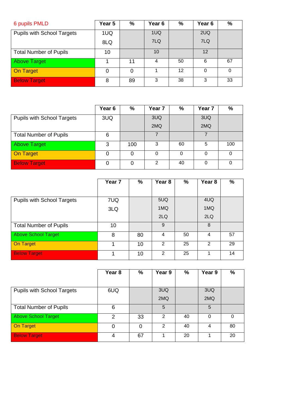| 6 pupils PMLD                     | Year 5 | %  | Year <sub>6</sub> | %  | Year <sub>6</sub> | %  |
|-----------------------------------|--------|----|-------------------|----|-------------------|----|
| <b>Pupils with School Targets</b> | 1UQ    |    | 1UQ               |    | 2UQ               |    |
|                                   | 8LQ    |    | 7LQ               |    | 7LQ               |    |
| <b>Total Number of Pupils</b>     | 10     |    | 10                |    | 12                |    |
| <b>Above Target</b>               |        | 11 | 4                 | 50 | 6                 | 67 |
| On Target                         | 0      |    |                   | 12 |                   | 0  |
| <b>Below Target</b>               | 8      | 89 | 3                 | 38 | 3                 | 33 |

|                                   | Year <sub>6</sub> | %   | Year <sub>7</sub> | %  | Year <sub>7</sub> | %   |
|-----------------------------------|-------------------|-----|-------------------|----|-------------------|-----|
| <b>Pupils with School Targets</b> | 3UQ               |     | 3UQ               |    | 3UQ               |     |
|                                   |                   |     | 2MQ               |    | 2MQ               |     |
| <b>Total Number of Pupils</b>     | 6                 |     |                   |    |                   |     |
| <b>Above Target</b>               | 3                 | 100 | 3                 | 60 | 5                 | 100 |
| <b>On Target</b>                  |                   | O   | 0                 | O  | 0                 | 0   |
| <b>Below Target</b>               | ი                 | 0   | $\mathcal{P}$     | 40 | 0                 | U   |

|                                   | Year <sub>7</sub> | $\%$ | Year 8          | $\%$ | Year <sub>8</sub> | %  |
|-----------------------------------|-------------------|------|-----------------|------|-------------------|----|
|                                   |                   |      |                 |      |                   |    |
| <b>Pupils with School Targets</b> | 7UQ               |      | 5UQ             |      | 4UQ               |    |
|                                   | 3LQ               |      | 1MQ             |      | 1MQ               |    |
|                                   |                   |      | 2 <sub>LQ</sub> |      | 2 <sub>LQ</sub>   |    |
| <b>Total Number of Pupils</b>     | 10                |      | 9               |      | 8                 |    |
| <b>Above School Target</b>        | 8                 | 80   | 4               | 50   | 4                 | 57 |
| On Target                         | 1                 | 10   | 2               | 25   | 2                 | 29 |
| <b>Below Target</b>               |                   | 10   | 2               | 25   |                   | 14 |

|                                   | Year <sub>8</sub> | %  | Year 9 | %  | Year 9 | $\%$ |
|-----------------------------------|-------------------|----|--------|----|--------|------|
|                                   |                   |    |        |    |        |      |
| <b>Pupils with School Targets</b> | 6UQ               |    | 3UQ    |    | 3UQ    |      |
|                                   |                   |    | 2MQ    |    | 2MQ    |      |
| <b>Total Number of Pupils</b>     | 6                 |    | 5      |    | 5      |      |
| Above School Target               | 2                 | 33 | 2      | 40 | 0      | 0    |
| <b>On Target</b>                  | O                 | 0  | 2      | 40 | 4      | 80   |
| <b>Below Target</b>               | 4                 | 67 |        | 20 |        | 20   |